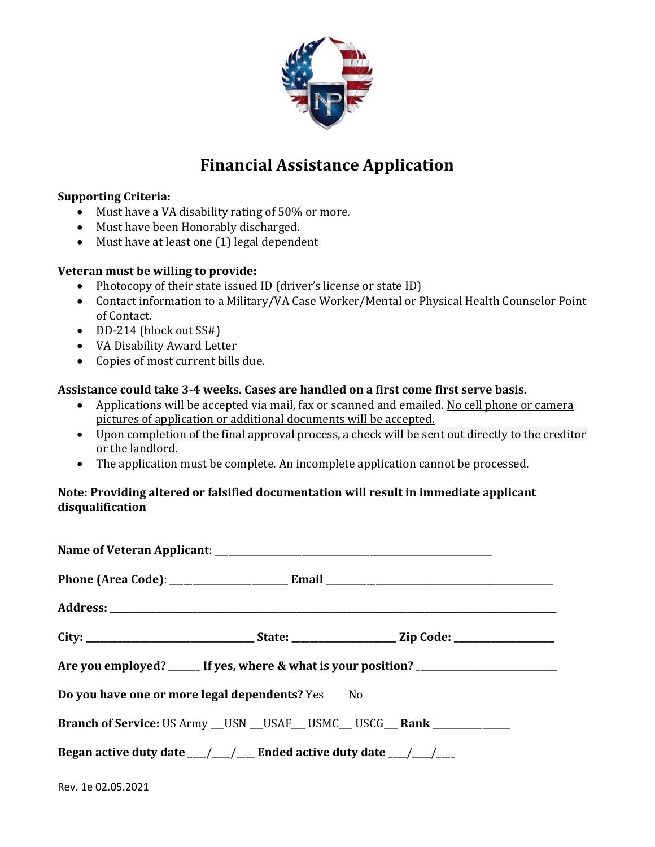

# **Financial Assistance Application**

## **Supporting Criteria:**

- Must have a VA disability rating of 50% or more.
- Must have been Honorably discharged.
- Must have at least one (1) legal dependent

## **Veteran must be willing to provide:**

- Photocopy of their state issued ID (driver's license or state ID)
- Contact information to a Military/VA Case Worker/Mental or Physical Health Counselor Point of Contact.
- DD-214 (block out SS#)
- VA Disability Award Letter
- Copies of most current bills due.

## **Assistance could take 3-4 weeks. Cases are handled on a first come first serve basis.**

- Applications will be accepted via mail, fax or scanned and emailed. No cell phone or camera pictures of application or additional documents will be accepted.
- Upon completion of the final approval process, a check will be sent out directly to the creditor or the landlord.
- The application must be complete. An incomplete application cannot be processed.

## **Note: Providing altered or falsified documentation will result in immediate applicant disqualification**

| Are you employed? ______ If yes, where & what is your position? _________________       |  |  |  |  |
|-----------------------------------------------------------------------------------------|--|--|--|--|
| Do you have one or more legal dependents? Yes No                                        |  |  |  |  |
| <b>Branch of Service: US Army __ USN __ USAF __ USMC __ USCG __ Rank ______________</b> |  |  |  |  |
| Began active duty date __/__/__ Ended active duty date __/__/__                         |  |  |  |  |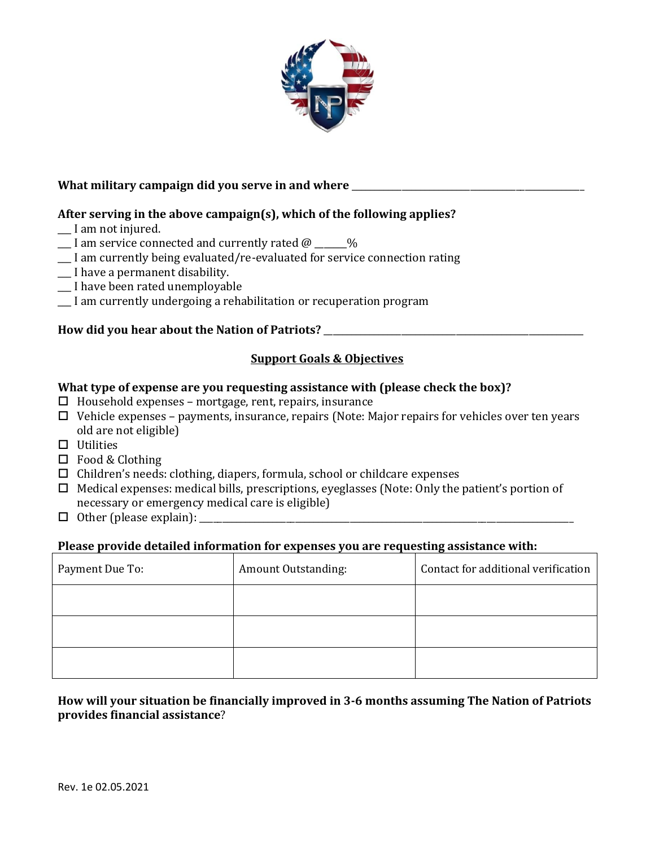

## What military campaign did you serve in and where

## **After serving in the above campaign(s), which of the following applies?**

- \_\_\_ I am not injured.
- $\Box$  I am service connected and currently rated  $\omega$   $\Box$ %
- \_\_\_ I am currently being evaluated/re-evaluated for service connection rating
- \_\_\_ I have a permanent disability.
- \_\_\_ I have been rated unemployable
- \_\_\_ I am currently undergoing a rehabilitation or recuperation program

# **How did you hear about the Nation of Patriots?** \_\_\_\_\_\_\_\_\_\_\_\_\_\_\_\_\_\_\_\_\_\_\_\_\_\_\_\_\_\_\_\_\_\_\_\_\_\_\_\_\_\_\_\_\_\_\_\_\_\_\_\_\_\_\_\_\_

### **Support Goals & Objectives**

#### **What type of expense are you requesting assistance with (please check the box)?**

- $\Box$  Household expenses mortgage, rent, repairs, insurance
- $\Box$  Vehicle expenses payments, insurance, repairs (Note: Major repairs for vehicles over ten years old are not eligible)
- $\Box$  Utilities
- □ Food & Clothing
- $\Box$  Children's needs: clothing, diapers, formula, school or childcare expenses
- $\Box$  Medical expenses: medical bills, prescriptions, eyeglasses (Note: Only the patient's portion of necessary or emergency medical care is eligible)
- $\Box$  Other (please explain):  $\Box$

#### **Please provide detailed information for expenses you are requesting assistance with:**

| Payment Due To: | Amount Outstanding: | Contact for additional verification |
|-----------------|---------------------|-------------------------------------|
|                 |                     |                                     |
|                 |                     |                                     |
|                 |                     |                                     |

## **How will your situation be financially improved in 3-6 months assuming The Nation of Patriots provides financial assistance**?